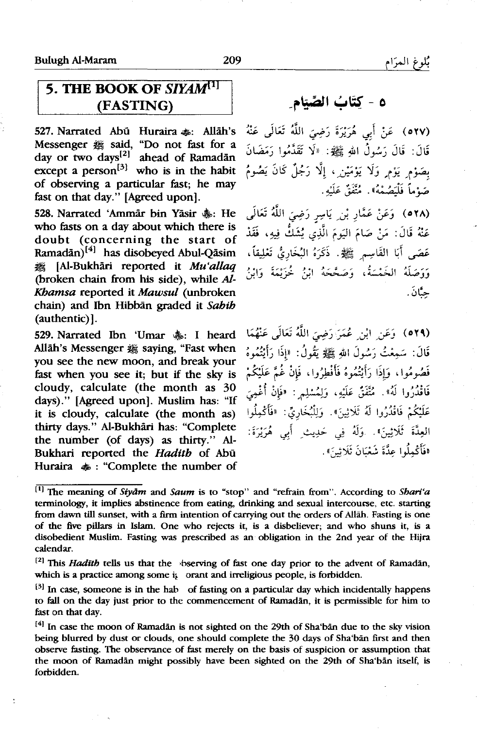## **5. THE BOOK OF SIYAM<sup>[1]</sup>** (FASTING)

527. Narrated Abū Huraira ... Allāh's Messenger  $#$  said. "Do not fast for a day or two days<sup>[2]</sup> ahead of Ramadan except a person<sup>[3]</sup> who is in the habit of observing a particular fast; he may fast on that day." [Agreed upon].

528. Narrated 'Ammar bin Yasir  $\&$ : He who fasts on a day about which there is doubt (concerning the start of Ramadān)<sup>[4]</sup> has disobeyed Abul-Qāsim ~ [Al-Bukhari reported it Mu'allaq (broken chain from his side), while Al-Kbamsa reported it Mawsul (unbroken chain) and Ibn Hibban graded it *Sahib*  (authentic)].

529. Narrated Ibn 'Umar &: I heard Allah's Messenger # saying, "Fast when you see the new moon, and break your fast when you see it; but if the sky is cloudy, calculate (the month as 30 days)." [Agreed upon]. Muslim has: "If it is cloudy, calculate (the month as) thirty days." Al-Bukhari has: "Complete the number (of days) as thirty." Al-Bukhari reported the *Hadith* of Abu Huraira  $\clubsuit$ : "Complete the number of

## -~'};aJI ~~ - **o**

.<br>(٥٢٧ - عَنْ أَبِي هُرَيْرَةَ رَضِيَ اللَّهُ تَعَالَى عَنْهُ قَالَ: قَالَ رَسُولُ اللهِ ﷺ: «لَا تَقَدَّمُوا رَمَضَانَ بصَوْم يَوْم وَلَا يَوْمَيْن ، إلَّا رَجُلٌ كَانَ يَصُومُ .<br>**صَدْماً فَلْيَصُمْهُ». مُثَّفَقُ عَ**لَيْهِ.

*J,* ~ ji I - · , \;' · ' ~ : ,, ( o YA) ~.) -rt - *,cl. -! ,y* .J عَنْهُ قَالَ: مَنْ صَامَ البَومَ الَّذِي يُشَكُّ فيه، فَقَدْ عَصَى أَبَا القَاسِيرِ ﷺ. ذَكَرَهُ البُخَارِيُّ تَعْلِيقاً، .<br>وَوَصَلَهُ الْغَيْسَةُ، وَصَعَّعَهُ إِنْ خَوْنِهَةَ وَإِنْ حنَّانَ.

(٥٢٩). وَعَنِ أَيْنِ عُمَرَ رَضِيَ اللَّهُ تَعَالَى عَنْهُمَا قَالَ: سَمِعْتُ رَسُولَ اللهِ ﷺ يَقُولُ: «إِذَا رَأَيْتُهُوهُ فَصُومُوا، وَإِذَا رَأَيْتُهُوهُ فَأَفْطِرُوا، فَإِنْ غُيرَّ عَلَيْكُمْ فَاقْدُرُوا لَهُ». مُتَّفَقٌ عَلَيْهِ، وَلِمُسْلِمٍ : «فَإِنْ أُغْمِيَ عَلَيْكُمْ فَاقْدُرُوا لَهُ ثَلَاثِينَ». وَلِلْبُخَارِيِّ: «فَأَكْمِلُوا الْعِدَّةَ ثَلَاثِينَ». وَلَمُ فِي حَدِيثِ أَبِي هُرَيْرَةَ: افَأَكْمِلُوا عِدَّةَ شَعْبَانَ ثَلَاثِينَ».

<sup>[</sup>IJ The meaning of *Siyiim* and *Saum* is to "stop" and "refrain from". According to *Shari'a*  terminology, it implies abstinence from eating, drinking and sexual intercourse, etc. starting from dawn till sunset, with a firm intention of carrying out the orders of Allah. Fasting is one of the five pillars in Islam. One who rejects it, is a disbeliever; and who shuns it, is a disobedient Muslim. Fasting was prescribed as an· obligation in the 2nd year of the Hijra calendar.

<sup>&</sup>lt;sup>[2]</sup> This *Hadith* tells us that the bserving of fast one day prior to the advent of Ramadan, which is a practice among some it orant and irreligious people, is forbidden.

 $[3]$  In case, someone is in the hab of fasting on a particular day which incidentally happens to fall on the day just prior to the commencement of Ramadan, it is permissible for him to fast on that day.

<sup>&</sup>lt;sup>[4]</sup> In case the moon of Ramadan is not sighted on the 29th of Sha'ban due to the sky vision being blurred by dust or clouds, one should complete the 30 days of Sha'ban first and then observe fasting. The observance of fast merely on the basis of suspicion or assumption that the moon of Ramadan might possibly have been sighted on the 29th of Sha'ban itself, is forbidden.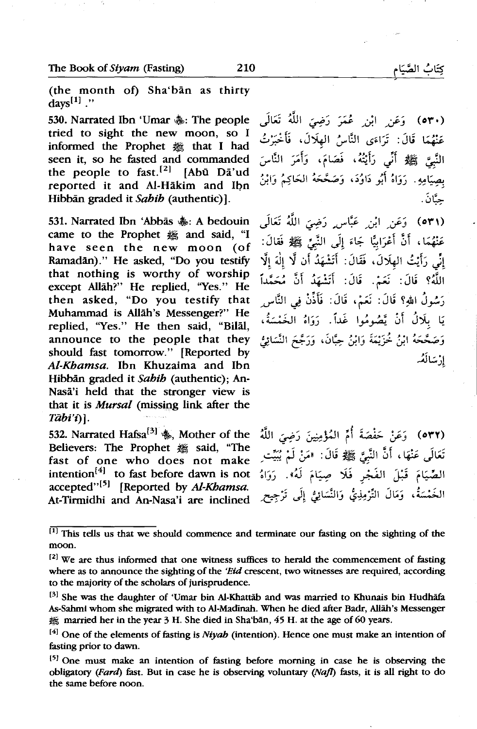(the month of) Sha'ban as thirty days<sup>[1]</sup>  $\cdot$ 

530. Narrated Ibn 'Umar  $\&$ : The people tried to sight the new moon, so I informed the Prophet  $#$  that I had seen it, so he fasted and commanded the people to fast.<sup>[2]</sup> [Abū Da'ud reported it and Al-Hakim and lbn Hibban graded it Sahih (authentic)].

531. Narrated Ibn 'Abbās  $\ddot{\textbf{a}}$ s: A bedouin came to the Prophet  $#$  and said, "I have seen the new moon (of Ramadan)." He asked, "Do you testify that nothing is worthy of worship except Allah?" He replied, "Yes." He then asked, "Do you testify that Muhammad is Allah's Messenger?" He replied, "Yes." He then said, "Bilal, announce to the people that they should fast tomorrow." [Reported by Al-Kbamsa. Ibn Khuzaima and Ibn Hibban graded it Sahib (authentic); An-Nasa'i held that the stronger view is that it is *Mursal* (missing link after the *Tiibi't)* ].

532. Narrated Hafsa<sup>[3]</sup>  $\&$ . Mother of the Believers: The Prophet & said, "The fast of one who does not make intention<sup>[4]</sup> to fast before dawn is not  $accepted$ <sup>''[5]</sup> [Reported by Al-Khamsa. At-Tirmidhi and An-Nasa'i are inclined

(٥٣٠) - وَعَنِ ابْنِ - عُمَرَ - رَضِيَ اللَّهُ - تَعَالَمَ . عَنْهُمَا قَالَ: تَرَاءَى النَّاسُ الهلَالَ، فَأَخْبَرْتُ النَّبِيَّ ﷺ أَنِّى رَأَيْتُهُ، فَصَامَ، وَأَمَرَ النَّاسَ بصيَامِهِ. رَوَاهُ أَبُو دَاوُدَ، وَصَحَّحَهُ الحَاكِمُ وَابْنُ حنَّانَ .

(٥٣١) وَعَن ِ ابْن ِ عَبَّاس رَضِيَ اللَّهُ تَعَالَم عَنْهُمَا، أَنَّ أَعْرَابيًّا جَاءَ إِلَى النَّبِيِّ ﷺ فَقالَ: إِنِّي رَأَيْتُ الهِلَالَ، فَقَالَ: أَتَشْهَدُ أَن لَّا إِلٰهَ إِلَّا اللَّهُ؟ قَالَ: نَعَمْ. قَالَ: أَتَشْهَدُ أَنَّ مُحَمَّداً رَسُولُ اللهِ؟ قَالَ: نَعَمْ، قَالَ: فَأَذِّنْ فِي النَّاسِ يَا بِلَالُ أَنْ يَّصُومُوا غَداً. دَوَاهُ الْخَمْسَةُ، وَصَحَّحَهُ ابْنُ خُزَيْمَةَ وَابْنُ حِبَّانَ، وَرَجَّحَ النَّسَائِيُّ ا**.** سَالَ**هُ**.

(٥٣٢) ۖ وَعَنْ حَفْصَةَ أُمِّ المُؤْمِنِينَ رَضِيَ اللَّهُ تَعَالَى عَنْهَا، أَنَّ النَّبِيَّ ﷺ قَالَ: «مَنْ لَمْ يُبَيِّت الصِّيَامَ قَبْلَ الفَجْرِ فَلَا صِيَامَ لَهُ». رَوَاهُ الْخَمْسَةُ، وَمَالَ التَّرْمِذِيُّ وَالنَّسَائِيُّ إِلَى تَرْجِيحِ

 $[1]$  This tells us that we should commence and terminate our fasting on the sighting of the moon.

 $[2]$  We are thus informed that one witness suffices to herald the commencement of fasting where as to announce the sighting of the 'Eid crescent, two witnesses are required, according to the majority of the scholars of jurisprudence.

<sup>&</sup>lt;sup>[3]</sup> She was the daughter of 'Umar bin Al-Khattāb and was married to Khunais bin Hudhāfa As-Sahm! whom she migrated with to Al-Madinah. When he died after Badr, Allah's Messenger 機 married her in the year 3 H. She died in Sha'bān, 45 H. at the age of 60 years.

 $[4]$  One of the elements of fasting is *Niyah* (intention). Hence one must make an intention of fasting prior to dawn.

 $[5]$  One must make an intention of fasting before morning in case he is observing the obligatory (Fard) fast. But in case he is observing voluntary (Nafl) fasts, it is all right to do the same before noon.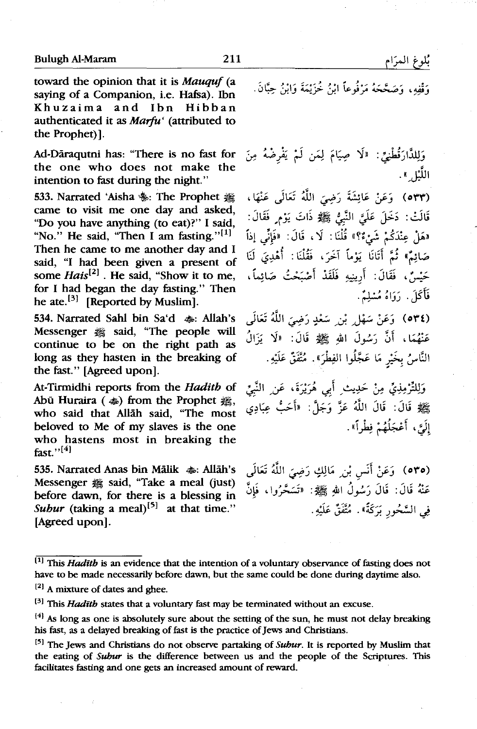toward the opinion that it is *Mauquf* (a saying of a Companion, i.e. Hafsa). Ibn Khuzaima and Ibn Hibban authenticated it as *Marfu'* (attributed to the Prophet)].

Ad-Dāraqutni has: "There is no fast for the one who does not make the intention to fast during the night."

533. Narrated 'Aisha \: The Prophet \; came to visit me one day and asked, "Do you have anything (to eat)?" I said, "No." He said, "Then I am fasting."<sup>[1]</sup> Then he came to me another day and I said, "I had been given a present of some Hais<sup>[2]</sup> He said, "Show it to me, for I had began the day fasting." Then he ate.<sup>[3]</sup> [Reported by Muslim].

534. Narrated Sahl bin Sa'd  $\clubsuit$ : Allah's Messenger  $#$  said, "The people will continue to be on the right path as long as they hasten in the breaking of the fast." [Agreed upon].

At-Tirmidhi reports from the Hadith of Abū Huraira ( $\text{Lip}$ ) from the Prophet  $\text{Lip}$ , who said that Allah said, "The most beloved to Me of my slaves is the one who hastens most in breaking the fast." $[4]$ 

535. Narrated Anas bin Mālik  $\clubsuit$ : Allāh's Messenger  $#$  said, "Take a meal (just) before dawn, for there is a blessing in *Subur* (taking a meal)<sup>[5]</sup> at that time." [Agreed upon].

وَقْفِهِ، وَصَحَّحَهُ مَرْفُوعاً إِبْنُ خُزَيْمَةَ وَإِبْنُ حِبَّانَ.

وَلِلدَّارَقُطْنِيِّ: «لَا صِيَامَ لِمَن لَمْ يَفْرِضْهُ مِنَ اللَّيْل ».

(٥٣٣) ۚ وَعَنْ عَائِشَةَ رَضِيَ اللَّهُ تَعَالَى عَنْهَا، قَالَتْ: دَخَلَ عَلَيَّ النَّبِيُّ ﷺ ذَاتَ يَوْمٍ فَقَالَ: «هَلْ عِنْدَكُمْ شَيْءٌ؟» قُلْنَا: لَا، قَالَ: «فَإِنِّي إِذاً صَائِمٌ» ثُمَّ أَتَانَا يَوْماً آخَرَ، فَقُلْنَا: أُهْدِيَ لَنَا حَيْسٌ، فَقَالَ: أَرِينِيهِ فَلَقَدْ أَصْبَحْتُ صَائِماً، فَأَكَلَ. رَوَاهُ مُسْلِمٌ.

(٥٣٤) وَعَنْ سَهْلٍ بْنِ سَعْدٍ رَضِيَ اللَّهُ تَعَالَى عَنْهُمَا، أَنَّ رَسُولَ اللهِ ﷺ قَالَ: «لَا يَزَالُ النَّاسُ بخَيْرٍ مَا عَجَّلُوا الفِطْرَ». مُتَّفَقٌ عَلَيْهِ.

وَلِلتَّرْمِذِيِّ مِنْ حَدِيثِ أَبِي هُرَيْرَةَ، عَنِ النَّبِيِّ بِيَّلِيْمٍ قَالَ: قَالَ اللَّهُ عَزَّ وَجَلَّ: «أَحَتُّ عِبَادِي إِلَيَّ، أَعْجَلُهُمْ فِطْراً».

(٥٣٥) ۖ وَعَنْ أَنَسٍ بْنِ ۖ مَالِكٍ رَضِيَ اللَّهُ تَعَالَى عَنْهُ قَالَ: قَالَ رَسُولُ اللهِ ﷺ: «تَسَحَّرُوا، فَإِنَّ فِي السَّحُورِ يَرَكَةً». مُتَّفَقٌ عَلَيْهِ.

<sup>[2]</sup> A mixture of dates and ghee.

<sup>[</sup>lJ This *Haditb* is an evidence that the intention of a voluntary observance of fasting does not have to be made necessarily before dawn, but the same could be done during daytime also.

<sup>&</sup>lt;sup>[3]</sup> This *Hadith* states that a voluntary fast may be terminated without an excuse.

 $[4]$  As long as one is absolutely sure about the setting of the sun, he must not delay breaking his fast, as a delayed breaking of fast is the practice of Jews and Christians.

<sup>&</sup>lt;sup>[5]</sup> The Jews and Christians do not observe partaking of *Subur*. It is reported by Muslim that the eating of *Subur* is the difference between us and the people of the Scriptures. This facilitates fasting and one gets an increased amount of reward.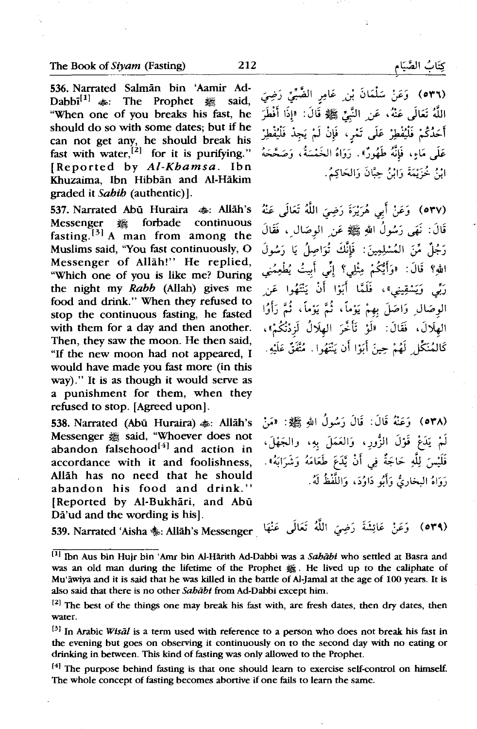536. Narrated Salman bin 'Aamir Ad-Dabbi<sup>[1]</sup>  $\clubsuit$ : The Prophet  $\clubsuit$  said, "When one of you breaks his fast, he should do so with some dates; but if he can not get any, he should break his fast with water, $^{[2]}$  for it is purifying." [Reported by *Al-Khamsa.* Ibn Khuzaima, Ibn Hibban and Al-Hakim graded it *Sahib* (authentic)].

537. Narrated Abū Huraira  $\clubsuit$ : Allāh's Messenger ~ forbade continuous fasting.<sup>[3]</sup> A man from among the Muslims said, "You fast continuously, 0 Messenger of Allah!" He replied, "Which one of you is like me? During the night my *Rabb* (Allah) gives me food and drink." When they refused to stop the continuous fasting, he fasted with them for a day and then another. Then, they saw the moon. He then said, "If the new moon had not appeared, I would have made you fast more (in this way)." It is as though it would serve as a punishment for them, when they refused to stop. [Agreed upon].

538. Narrated (Abū Huraira)  $\clubsuit$ : Allāh's Messenger  $#$  said, "Whoever does not abandon falsehood $[4]$  and action in accordance with it and foolishness, Allah has no need that he should abandon his food and drink.'' [Reported by Al-Bukhāri, and Abū Dā'ud and the wording is his].

539. Narrated 'Aisha~: Allah's Messenger

(٥٣٦) وَعَنْ سَلْمَانَ بْنِ عَامِرٍ الضَّبِّيِّ رَضِيَ اللَّهُ تَعَالَى عَنْهُ، عَنِ النَّبِيِّ ﷺ قَالَ: «إِذَا أَفْطَرَ أَحَدُكُمْ فَلْيُفْطِرْ عَلَى تَمْرِ، فَإِنْ لَمْ يَجِدْ فَلْيُفْطِرْ عَلَى مَاءٍ، فَإِنَّهُ طَهُورٌ». رَوَاهُ الخَمْسَةُ، وَصَحَّحَهُ ابْنُ خُزَيْمَةَ وَابْنُ حِبَّانَ وَالحَاكِمُ.

(٥٣٧) وَعَنْ أَبِي هُرَيْرَةَ رَضِيَ اللَّهُ تَعَالَى عَنْهُ قَالَ: نَهَى رَسُولُ الل*َّهِ ﷺ عَنِ الوصَالِ ، فَقَالَ* رَجُلٌ مِّنَ المُسْلِمِينَ: فَإِنَّكَ تُوَاصِلُ يَا رَسُولَ اللهِ؟ قَالَ: «وَأَيْكُمْ مِثْلِي؟ إِنِّي أَبِيتُ يُطْعِمُنِي رَبِّي وَيَسْقِينِي»، فَلَمَّا أَبَوْا أَنْ يَنْتَهُوا عَن الوصّال وَاصَلَ بهمْ يَوْماً، ثُمَّ يَوْماً، ثُمَّ رَأَوُا الهلَالَ، فَقَالَ: «لَوْ تَأَخَّرَ الهلَالُ لَزِدْتُكُمْ»، كَالمُنَكِّلِ لَهُمْ حِينَ أَبَوْا أَن يَنْتَهُوا. مُتَّفَقٌّ عَلَيْهِ.

.:,;» :~~I *J\_,.:.)* J~ :J~ ~J (o,-A) لَمْ يَدَعْ قَوْلَ الزُّورِ، وَالعَمَلَ بِهِ، والجَهْلَ،<br>فَلَيْسَ لِلَّهِ حَاجَةٌ فِي أَنْ يَّدَعَ طَعَامَهُ وَشَرَابَهُ». رَوَاهُ البخارِيُّ وَأَيُو دَاوُدَ، وَاللَّفْظُ لَهُ.

 $(049)$ 

<sup>&</sup>lt;sup>[1]</sup> Ibn Aus bin Hujr bin 'Amr bin Al-Hārith Ad-Dabbi was a *Sahābi* who settled at Basra and was an old man during the lifetime of the Prophet 囊. He lived up to the caliphate of Mu'awiya and it is said that he was killed in the battle of Al-Jamal at the age of 100 years. It is also said that there is no other Sababt from Ad-Dabbi except him.

<sup>&</sup>lt;sup>[2]</sup> The best of the things one may break his fast with, are fresh dates, then dry dates, then water.

<sup>&</sup>lt;sup>[3]</sup> In Arabic *Wisal* is a term used with reference to a person who does not break his fast in the evening but goes on observing it continuously on to the second day with no eating or drinking in between. This kind of fasting was only allowed to the Prophet.

<sup>&</sup>lt;sup>[4]</sup> The purpose behind fasting is that one should learn to exercise self-control on himself. The whole concept of fasting becomes abortive if one fails to learn the same.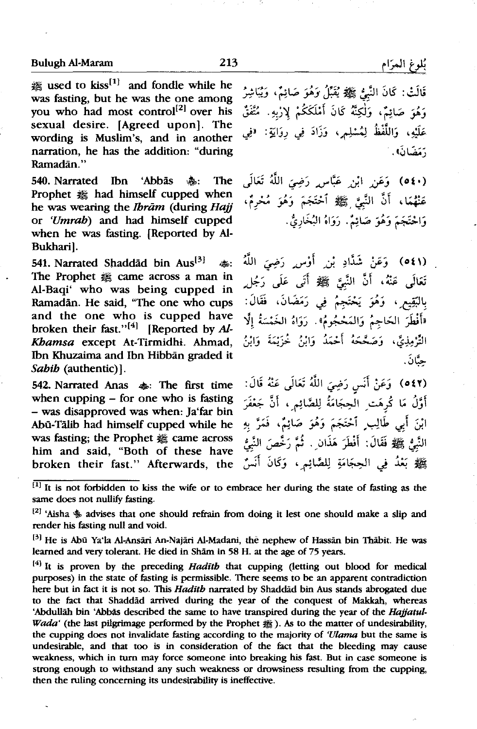$*$  used to kiss<sup>[1]</sup> and fondle while he was fasting, but he was the one among you who had most control<sup>[2]</sup> over his sexual desire. [Agreed upon). The wording is Muslim's, and in another narration, he has the addition: "during Ramadan."

540. Narrated Ibn 'Abbās ��: The Prophet  $#$  had himself cupped when he was wearing the *Ibrām* (during Hajj or 'Umrab) and had himself cupped when he was fasting. [Reported by Al-Bukhari).

541. Narrated Shaddad bin Aus<sup>[3]</sup>  $\text{d}$ s: The Prophet  $#$  came across a man in Al-Baqi' who was being cupped in Ramadan. He said, "The one who cups and the one who is cupped have broken their fast."<sup>[4]</sup> [Reported by Al-Khamsa except At-Tirmidhi. Ahmad, Ibn Khuzaima and Ibn Hibbān graded it Sabib (authentic)].

542. Narrated Anas  $\clubsuit$ : The first time when cupping - for one who is fasting - was disapproved was when: Ja'far bin Abu-Talib had himself cupped while he was fasting; the Prophet  $#$  came across him and said, "Both of these have broken their fast." Afterwards, the

قَالَتْ: كَانَ النَّبِئُ ﷺ يُقَبِّلُ وَهُوَ صَائِمٌ، وَيُبَاشِرُ وَهُوَ صَائِمٌ، وَلٰكِنَّهُ كَانَ أَمْلَكَكُمْ لِإِزْبِهِ. مُتَّفَقٌ عَلَيْهِ، وَاللَّفْظُ لِمُسْلِمٍ، وَزَادَ فِي رِوَايَةٍ: «فِي .«0~\_;

*Jt;;* illt ~J ........ <sup>~</sup>,Jt ,;j.j (ot•} عَنْهُمَا، أَنَّ النَّبِيَّ ﷺ أَحْتَجَمَ وَهُوَ مُحْرِمٌ، وَاحْتَجَمَ وَهُوَ صَائِمٌ. رَوَاهُ البُخَارِيُّ.

(611) وَعَنْ شَدَّادِ بْن ِ أَوْس ِ رَضِىَ اللَّهُ .<br>**تَعَالَى عَنْهُ، أَنَّ النَّبِئَ ﷺ أَتَى عَلَى** رَجُلٍ بِالبَّقِيعِ ، وَهُوَ يَحْتَجِمُ فِي رَمَضَانَ، فَقَالَ: "أَفْطَرَ الحَاجِمُ وَالمَحْجُومُ». رَوَاهُ الخَمْسَةُ إلَّا التَّرْمِذِيَّ، وَصَحَّحَهُ أَحْمَدُ وَابْنُ خُزَيْمَةَ وَابْنُ حنَّانَ .

(٥٤٢) ۚ وَعَنْ أَنَسٍ رَضِيَ اللَّهُ تَعَالَى عَنْهُ قَالَ: أَوَّلُ مَا كُرِهَتِ الْحِجَامَةُ لِلصَّائِمِ ، أَنَّ جَعْفَرَ ابْنَ أَبِي طَالِبٍ ٱحْتَجَمَ وَهُوَ صَائِمٌ، فَمَرَّ بِهِ النَّبِيُّ ﷺ فَقَالَ: أَفْطَرَ هَذَانٍ . ثُمَّ رَخَّصَ النَّبِيُّ ﷺ بَعْدُ فِي الْحِجَامَةِ لِلصَّائِمِ ، وَكَانَ أَنَسٌ

 $\overline{F(1)}$  It is not forbidden to kiss the wife or to embrace her during the state of fasting as the same does not nullify fasting.

<sup>[2]</sup> 'Aisha  $*$  advises that one should refrain from doing it lest one should make a slip and render his fasting null and void.

<sup>[3]</sup> He is Abū Ya'la Al-Ansāri An-Najāri Al-Madani, thè nephew of Hassān bin Thābit. He was learned and very tolerant. He died in Sham in 58 H. at the age of 75 years.

<sup>[4]</sup> It is proven by the preceding *Hadith* that cupping (letting out blood for medical purposes) in the state of fasting is permissible. There seems to be an apparent contradiction here but in fact it is not so. This *Hadith* narrated by Shaddad bin Aus stands abrogated due to the fact that Shaddad arrived during the year of the conquest of Makkah, whereas 'Abdullah bin 'Abbas described the same to have transpired during the year of the *Hajjatul-Wada'* (the last pilgrimage performed by the Prophet <sub>选</sub>). As to the matter of undesirability, the cupping does not invalidate fasting according to the majority of *'Ulama* but the same is undesirable, and that too is in consideration of the fact that the bleeding may cause weakness, which in tum may force someone into breaking his fast. But in case someone is strong enough to withstand any such weakness or drowsiness resulting from the cupping, then the ruling concerning its undesirability is ineffective.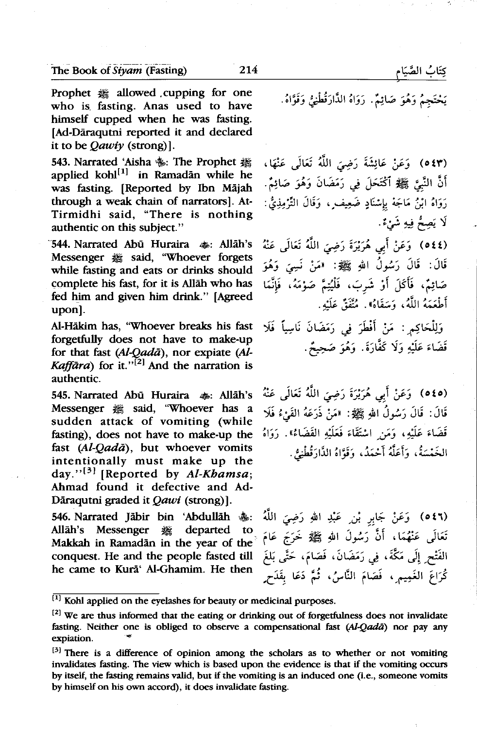Prophet « allowed cupping for one who is. fasting. Anas used to have himself cupped when he was fasting. (Ad-Daraqutni reported it and declared it to be  $Qawiy$  (strong)].

543. Narrated 'Aisha %: The Prophet 選 applied kohl $\left[ \cdot \right]$  in Ramadan while he was fasting. [Reported by Ibn Mājah through a weak chain of narrators]. At-Tirmidhi said, "There is nothing authentic on this subject."

544. Narrated Abū Huraira  $\clubsuit$ : Allāh's Messenger  $#$  said, "Whoever forgets while fasting and eats or drinks should complete his fast, for it is Allah who has fed him and given him drink." [Agreed upon].

Al-Hakim has, ''Whoever breaks his fast forgetfully does not have to make-up for that fast (Al-Qadā), nor expiate (Al-*Kaffara*) for it."<sup>[2]</sup> And the narration is authentic.

قَالَ: قَالَ رَسُولُ اللهِ ﷺ: «مَنْ ذَرَعَهُ القَيْءُ فَلَا Messenger ﷺ: «مَنْ ذَرَعَهُ القَيْءُ فَلَا aJ\_ sudden attack of vomiting (while fasting), does not have to make-up the أَقَضَاءَ عَلَيْهِ، وَمَن اسْتَقَاءَ فَعَلَيْهِ القَضَاءُ". زَوَاهُ fast  $(Al-Qad\bar{a})$ , but whoever vomits intentionally must make up the day." $[3]$  [Reported by Al-Khamsa; Ahmad found it defective and Ad-Dāraqutni graded it Qawi (strong)].

546. Narrated Jābir bin 'Abdullāh \$: Allah's Messenger # departed to Makkah in Ramadan in the year of the conquest. He and the people fasted till he came to Kura' Al-Ghamim. He then

يَحْتَجِمُ وَهُوَ صَائِمٌ. رَوَاهُ الدَّارَقُطْنِيُّ وَقَوَّاهُ.

, ~ J~ jjl *:.ri')* ~~ ~j (o t'") أَنَّ النَّبِيَّ ﷺ ٱكْتَحَلَّ فِي رَمَضَانَ وَهُوَ صَائِمٌ. رَوَاهُ ابْنُ مَاجَهْ بِإِسْنَادٍ ضَعِيف ٍ، وَقَالَ التَّرْمِذِيُّ : لَا يَصِحُّ فِيهِ شَئْءٌ.

~ J~ jjl *:.ri')* g;.} -1;f ~j (ott) قَالَ: قَالَ رَسُولُ اللهِ ﷺ: «مَنْ نَسِيَ وَهُوَ صَائِمٌ، فَأَكَلَ أَوْ شَربَ، فَلْيُتِمَّ صَوْمَهُ، فَإِنَّمَا .<br>أطْعَمَهُ اللَّهُ، وَسَقَاهُ». مُتَّفَقٌّ عَلَيْهِ.

وَلِلْحَاكِمِ : مَنْ أَفْطَرَ فِي رَمَضَانَ نَاسِياً فَلَا قَضَاءَ عَلَيْهِ وَلَا كَفَّارَةَ. وَهُوَ صَحِيعٌ.

545. Narrated Abo Huraira ~= Allah's ~ J~ tli1 *:.ri')* g;.; -1;l ~j (oto) الْخَمْسَةُ، وَأَعَلَّهُ أَحْمَدُ، وَقَوَّاهُ الذَّارَقُطْنِيُّ.

> j\_il *:.ri')* ~I *µ \_J* !;~ ~j (oti) .<br>تَعَالَى عَنْهُمَا، أَنَّ َرَسُولَ اللهِ ﷺ خَرَجَ عَامَ الفَتْح ِ إِلَى مَكَّةَ، فِي رَمَضَانَ، فَصَامَ، حَتَّى بَلغَ .<br>كُرَاعَ الغَمِيمِ ، فَصَامَ النَّاسُ، ثُمَّ دَعَا بقَدَحٍ

 $\overline{[1]}$  Kohl applied on the eyelashes for beauty or medicinal purposes.

 $[2]$  We are thus informed that the eating or drinking out of forgetfulness does not invalidate fasting. Neither one is obliged to observe a compensational fast *(Al-Qadā)* nor pay any expiation.

<sup>&</sup>lt;sup>[3]</sup> There is a difference of opinion among the scholars as to whether or not vomiting invalidates fasting. The view which is based upon the evidence is that if the vomiting occurs by itself, the fasting remains valid, but if the vomiting is an induced one (i.e., someone vomits by himself on his own accord), it does invalidate fasting.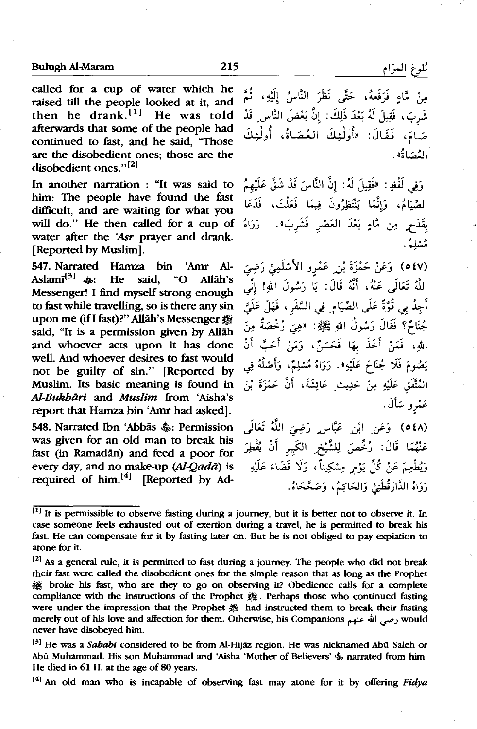called for a cup of water which he raised till the people looked at it, and then he drank. $[1]$  He was told afterwards that some of the people had continued to fast, and he said, "Those are the disobedient ones; those are the disobedient ones."<sup>[2]</sup>

In another narration : "It was said to him: The people have found the fast difficult, and are waiting for what you will do." He then called for a cup of water after the 'Asr prayer and drank. [Reported by Muslim).

547. Narrated Hamza bin 'Amr Al-Aslamī<sup>[3]</sup>  $\clubsuit$ : He said. "O Allāh's Messenger! I find myself strong enough to fast while travelling, so is there any sin upon me (if I fast)?" Allāh's Messenger 醬 said, "It is a permission given by Allah and whoever acts upon it has done well. And whoever desires to fast would not be guilty of sin." [Reported by Muslim. Its basic meaning is found in Al-Bukhari and *Muslim* from 'Aisha's report that Hamza bin 'Amr had asked].

548. Narrated Ibn 'Abbās &: Permission was given for an old man to break his fast (in Ramadan) and feed a poor for every day, and no make-up (Al-Qadā) is required of him.<sup>[4]</sup> [Reported by Adمِنْ مَّاءٍ فَرَفَعهُ، حَتَّى نَظَرَ النَّاسُ إِلَيْهِ، ثُمَّ شَرِبَ، فَقِيلَ لَهُ بَعْدَ ذَلِكَ: إِنَّ بَعْضَ النَّاسِ قَدْ<br>صَامَ، فَقَالَ: «أُولٰـئِكَ العُـصَاةُ، أُولٰـئِكَ العُصَاةُ».

وَفِي لَفْظِ: «فَقِيلَ لَهُ: إِنَّ النَّاسَ قَدْ شَقَّ عَلَيْهِمُ الصَّيَامُ، وَإِنَّمَا يَنْتَظِرُونَ فِيمَا فَعَلْتَ، فَدَعَا بِقَدَحٍ مِن مَّاءٍ بَعْدَ العَصْرِ فَشَرِبَ». دَوَاهُ مشلِمٌ .

(٥٤٧) وَعَنْ حَمْزَةَ بْ<sub>نْد</sub>ِ عَمْرو الأَسْلَمِيِّ رَضِيَ اللَّهُ تَعَالَى عَنْهُ، أَنَّهُ قَالَ: يَا رَسُولَ اللهِ! إنِّي أجِدُ بِي قُوَّةً عَلَى الصِّيَامِ فِي السَّفَرِ، فَهَلْ عَلَيَّ جُنَائُم؟ فَقَالَ رَسُولُ اللهِ ﷺ: "هِيَ رُخْصَةٌ مِنَ اللهِ، فَمَنْ أَخَذَ بِهَا فَحَسَنٌ، وَمَنْ أَحَبَّ أَنْ يَصُومَ فَلَا جُنَاحَ عَلَيْهِ». رَوَاهُ مُسْلِمٌ، وَأَصْلُهُ فِي المُتَّفَق عَلَيْهِ مِنْ حَدِيثِ عَائِشَةَ، أَنَّ حَمْزَةَ بْنَ عَمْرو سَأَلَ.

J~ jil *<:rf')* ..<J"~ ,JI *,J* "J ( *o* tA) عَنْهُمَا قَالَ: رُخِّصَ لِلشَّيْخِ الكَبِيرِ أَنْ يُفْطِرَ وَيُطْعِمَ عَنْ كُلِّ يَوْمٍ مِسْكِيناً، وَلَا قَضَاءَ عَلَيْهِ. رَوَاهُ الدَّارَقُطْنِيُّ وَالحَاكِمُ، وَصَحَّحَاهُ.

<sup>[4]</sup> An old man who is incapable of observing fast may atone for it by offering Fidya

<sup>&</sup>lt;sup>[1]</sup> It is permissible to observe fasting during a journey, but it is better not to observe it. In case someone feels exhausted out of exertion during a travel, he is permitted to break his fast. He can compensate for it by fasting later on. But he is not obliged to pay expiation to atone for it.

<sup>121</sup>*As* a general rule, it is permitted to fast during a journey. The people who did not break their fast were called the disobedient ones for the simple reason that as long as the Prophet ~ broke his fast, who are they to go on observing it? Obedience calls for a complete compliance with the instructions of the Prophet  $#$  . Perhaps those who continued fasting were under the impression that the Prophet # had instructed them to break their fasting merely out of his love and affection for them. Otherwise, his Companions وضي الله عنهم would never have disobeyed him.

<sup>&</sup>lt;sup>[3]</sup> He was a *Sabābi* considered to be from Al-Hijāz region. He was nicknamed Abū Saleh or Abū Muhammad. His son Muhammad and 'Aisha 'Mother of Believers'  $\frac{1}{20}$  narrated from him. He died in 61 H. at the age of 80 years.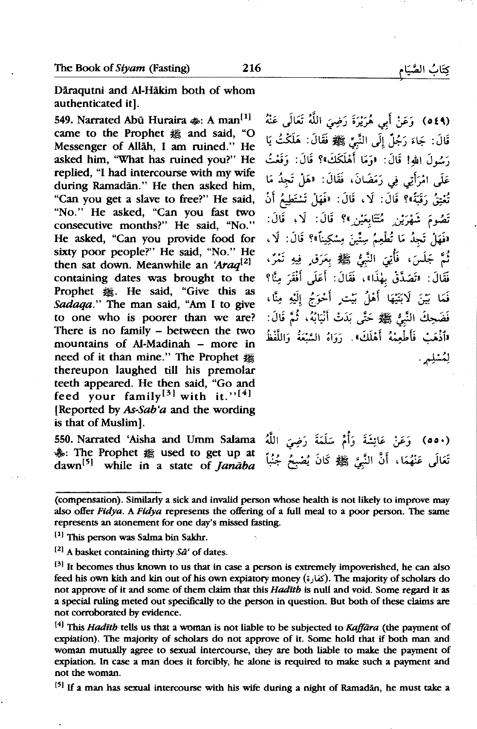Daraqutni and Al-Hakim both of whom authenticated it].

549. Narrated Abū Huraira  $\clubsuit$ : A man<sup>[1]</sup> came to the Prophet  $#$  and said, "O Messenger of Allah, I am ruined." He asked him, "What has ruined you?" He replied, "I had intercourse with my wife during Ramadān." He then asked him, "Can you get a slave to free?" He said, "No." He asked, "Can you fast two consecutive months?" He said, "No." He asked, "Can you provide food for sixty poor people?" He said, "No." He then sat down. Meanwhile an 'Araq<sup>[2]</sup> containing dates was brought to the Prophet **2.** He said, "Give this as *Sadaqa."* The man said, "Am I to give to one who is poorer than we are? There is no family - between the two mountains of Al-Madinah - more in need of it than mine." The Prophet & thereupon laughed till his premolar teeth appeared. He then said, "Go and feed your family<sup>[3]</sup> with it."<sup>[4]</sup> [Reported by *As-Sab'a* and the wording is that of Muslim].

550. Narrated 'Aisha and Umm Salama  $*$ : The Prophet @ used to get up at dawn<sup>[5]</sup> while in a state of *Janaba* 

قَالَ: جَاءَ رَجُلٌ إِلَى النَّبِيِّ ﷺ فَقَالَ: هَلَكْتُ يَا رَسُولَ اللهِ! قَالَ: ۚ «وَمَا أَهْلَكَكَ»؟ قَالَ: وَقَعْتُ عَلَى امْرَأَتِي فِي رَمَضَانَ، فَقَالَ: «هَلْ تَجِدُ مَا تُعْتِقُ رَقَبَةً»؟ قَالَ: لَا، قَالَ: «فَهَلْ تَسْتَطِيعُ أَنْ تَصُومَ شَهْرَيْنِ مُتَتَابِعَيْنِ ﴾؟ قَالَ: لَا، قَالَ: «فَهَلْ تَجِدُ مَا تُطْعِمُ سِتِّينَ مِسْكِيناً»؟ قَالَ: لَا، ثُمَّ جَلَسَ، فَأُنِيَ النَّبِيُّ ﷺ بِعَرَقٍ فِيهِ تَمْرٌ، .<br>فَقَالَ: «تَصَدَّقْ بِهٰذَا»، فَقَالَ: أَعَلَى أَفْقَرَ مِنَّا؟ فَمَا بَيْنَ لَابَتَيْهَا أَهْلُ بَيْتِ أَحْوَجُ إِلَيْهِ مِنَّا، فَضَحِكَ النَّبِيُّ ﷺ حَتَّى بَدَتْ أَنْيَابُهُ، ثُمَّ قَالَ: «ٱذْهَبْ فَأَطْعِمْهُ أَهْلَكَ». رَوَاهُ السَّبْعَةُ وَاللَّفْظُ

(٥٤٩) وَعَنْ أَبِي هُرَيْرَةَ رَضِيَ اللَّهُ تَعَالَى عَنْهُ

` (٥٥٠) وَعَنْ عَائِشَةَ وَأُمَّ سَلَمَةَ رَضِيَ اللَّهُ تَعَالَى عَنْهُمَا، أَنَّ النَّبِيَّ ﷺ كَانَ يُصْبِحُ جُنُباً

<sup>[5]</sup> If a man has sexual intercourse with his wife during a night of Ramadan, he must take a

لمُشلِم .

<sup>(</sup>compensation). Similarly a sick and invalid person whose health is not likely to improve may also offer Fidya. A Ftdya represents the offering of a full meal to a poor person. The same represents an atonement for one day's missed fasting.

<sup>[1]</sup> This person was Salma bin Sakhr.

 $^{[2]}$  A basket containing thirty  $S\bar{a}$  of dates.

 $[3]$  It becomes thus known to us that in case a person is extremely impoverished, he can also feed his own kith and kin out of his own expiatory money (; كغارة). The majority of scholars do not approve of it and some of them claim that this *Haditb* is null and void. Some regard it as a special ruling meted out specifically to the person in question. But both of these claims are not corroborated by evidence.

<sup>&</sup>lt;sup>[4]</sup> This *Hadith* tells us that a woman is not liable to be subjected to *Kaffara* (the payment of expiation). The majority of scholars do not approve of it. Some hold that if both man and woman mutually agree to sexual intercourse, they are both liable to make the payment of expiation. In case a man does it forcibly, he alone is required to make such a payment and not the woman.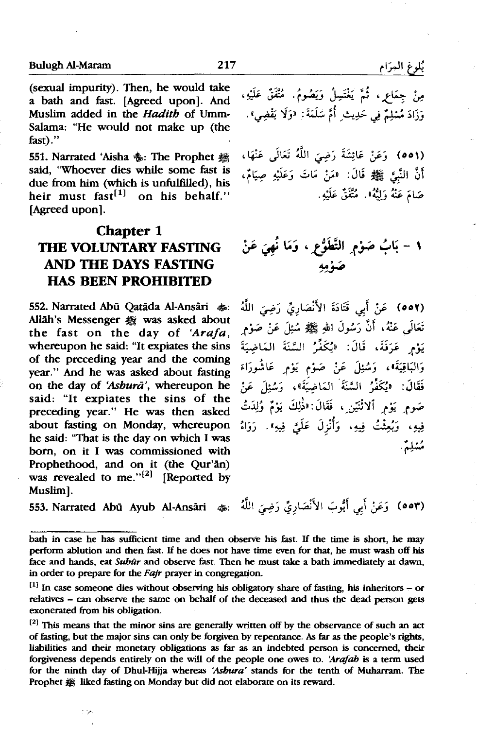(sexual impurity). Then, he would take a bath and fast. [Agreed upon]. And Muslim added in the *Hadith* of Umm-Salama: "He would not make up (the fast)."

551. Narrated 'Aisha 卷: The Prophet 囊 said, "Whoever dies while some fast is due from him (which is unfulfilled), his heir must  $fast^{[1]}$  on his behalf." [Agreed upon].

## **Chapter 1 THE VOLUNTARY FASTING AND THE DAYS FASTING HAS BEEN PROHIBITED**

552. Narrated Abū Oatāda Al-Ansāri ��. Allah's Messenger & was asked about the fast on the day of *'Ara/a,*  whereupon he said: "It expiates the sins of the preceding year and the coming year." And he was asked about fasting on the day of *'Ashura',* whereupon he said: "It expiates the sins of the preceding year." He was then asked about fasting on Monday, whereupon he said: "That is the day on which I was born, on it I was commissioned with Prophethood, and on it (the Qur'an) was revealed to me." $[2]$  [Reported by Muslim].

553. Narrated Abii Ayub Al-Ans:iri *•=* ji, ~) ~!~\r1 .;,~I ~f :\_;.:, (oo,.)

t is

مِنْ جِمَاعٍ ، ثُمَّ يَغْتَسِلُ وَيَصُومُ. مُتَّفَقُ عَلَيْهِ، وَذَادَ مُسْلِمٌ فِي حَدِيثِ أُمَّ سَلَمَةَ: "وَلَا يَقْضِيٌّ.

(٥٥١) ۖ وَعَنْ عَائِشَةَ رَضِيَ اللَّهُ تَعَالَى عَنْهَا، .<br>**أَنَّ النَّبِيَّ ﷺ قَالَ: "مَنْ مَاتَ وَعَلَيْهِ صِيَامٌ،** صَامَ عَنْهُ وَلَنَّهُ». مُتَّفَقٌ عَلَيْهِ.

# ١ – بَابُ صَوْمِ التَّطَوُّعِ ، وَمَا نُهِيَ عَنْ<br>صَوْمِهِ

(٥٥٢) عَنْ أَبِي قَتَادَةَ الأَنْصَارِيِّ رَضِيَ اللَّهُ تَعَالَمِي عَنْهُ، أَنَّ رَسُولَ اللهِ ﷺ سُنِلَ عَنْ صَوْمٍ يَوْمِ عَرَفَةً، قَالَ: (يُكَفِّرُ السَّنَةَ الْمَاضِيَةَ وَالبَاقِيَةَ»، وَسُئِلَ عَنْ صَوْمٍ يَوْمٍ عَاشُورَاءَ فَقَالَ: «يُكَفِّرُ السَّنَةَ المَاضِيَّةَ»، وَسُئِلَ عَنْ صَومِ يَوْمِ ٱلاثْنَيْنِ ، فَقَالَ: «ذَٰلِكَ يَوْمٌ وُلِدَتُ فِيهِ، ۖ وَبُعِثْتُ فِيهِ، ۖ وَأُنْزِلَ عَلَيَّ فِيهِ». ۚ رَوَاهُ مُشلِيُنْ.

bath in case he has sufficient time and then observe his fast. If the time is short, he may perform ablution and then fast. *H* he does not have time even for that, he must wash off his face and hands, eat Subūr and observe fast. Then he must take a bath immediately at dawn, in order to prepare for the Fajr prayer in congregation.

بُلوغ المِرَام

 $[1]$  In case someone dies without observing his obligatory share of fasting, his inheritors - or relatives - can observe the same on behalf of the deceased and thus the dead person gets exonerated from his obligation.

 $[2]$  This means that the minor sins are generally written off by the observance of such an act of fasting, but the major sins can only be forgiven by repentance. *As* far as the people's rights, liabilities and their monetary obligations as far as an indebted person is concerned, their forgiveness depends entirely on the will of the people one owes to. *'Ara/ab* is a term used for the ninth day of Dhul-Hijja whereas 'Asbura' stands for the tenth of Muharram. The Prophet  $\frac{1}{20}$  liked fasting on Monday but did not elaborate on its reward.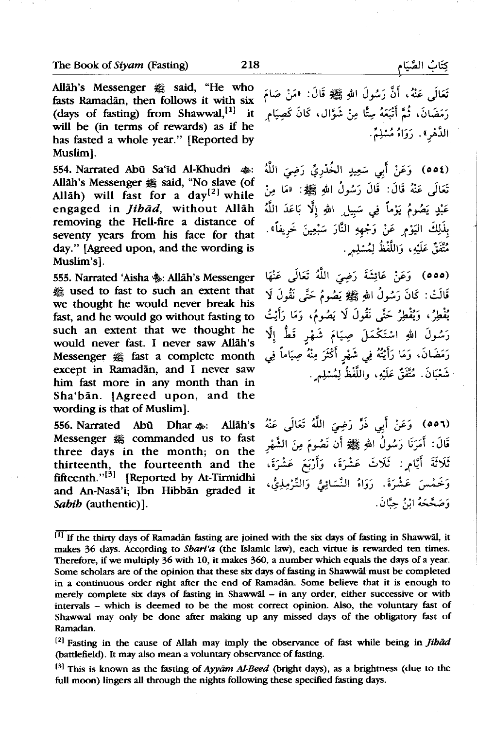Allah's Messenger « said, "He who fasts Ramadan, then follows it with six (days of fasting) from Shawwal,<sup>[1]</sup> it will be (in terms of rewards) as if he has fasted a whole year." (Reported by Muslim].

554. Narrated Abū Sa'id Al-Khudri  $\clubsuit$ : Allah's Messenger # said, "No slave (of Allah) will fast for a  $day^{[2]}$  while engaged in *jihad,* without Allah removing the Hell-fire a distance of seventy years from his face for that day." [Agreed upon, and the wording is Muslim's].

555. Narrated 'Aisha \$: Allah's Messenger ~ used to fast to such an extent that we thought he would never break his fast, and he would go without fasting to such an extent that we thought he would never fast. I never saw Allah's Messenger  $#$  fast a complete month except in Ramadān, and I never saw him fast more in any month than in Sha'ban. (Agreed upon, and the wording is that of Muslim).

556. Narrated Abū Dhar  $\clubsuit$ : Allāh's Messenger « commanded us to fast three days in the month; on the thirteenth, the fourteenth and the fifteenth." $\left[3\right]$  [Reported by At-Tirmidhi and An-Nasa'i; Ibn Hibban graded it *Sahib* (authentic)].

تَعَالَمِي عَنْهُ، أَنَّ رَسُولَ اللهِ ﷺ قَالَ: «مَنْ صَامَ رَمَضَانَ، ثُمَّ أَتْبَعَهُ سِتًّا مِنْ شَوَّال، كَانَ كَصِيَامٍ الدَّهْرِ». رَوَاهُ مُسْلِمٌ.

(٥٥٤) وَعَنْ أَبِي سَعِيدٍ الخُدْرِيِّ رَضِيَ اللَّهُ تَعَالَمِي عَنْهُ قَالَ: قَالَ رَسُولُ اللهِ ﷺ: «مَا مِنْ عَبْدٍ يَصُومُ يَوْماً فِي سَبيلِ اللهِ إِلَّا بَاعَدَ اللَّهُ بِذَلِكَ اليَوْمِ عَنْ وَجْهِهِ النَّارَ سَبْعِينَ خَرِيفاً». مُتَّفَقٌ عَلَيْهِ، وَاللَّفْظُ لِمُسْلِمٍ .

(٥٥٥) ۖ وَعَنْ عَائِشَةَ رَضِيَ اللَّهُ تَعَالَى عَنْهَا قَالَتْ: كَانَ رَسُولُ اللهِ ﷺ يَصُومُ حَتَّى نَقُولَ لَا يُفْطِرُ، وَيُفْطِرُ حَتَّى نَقُولَ لَا يَصُومُ، وَمَا رَأَيْتُ رَسُولَ اللهِ اسْتَكْمَلَ صِيَامَ شَهْرٍ قَطُّ إِلَّا رَمَضَانَ، وَمَا رَأَيْتُهُ فِي شَهْرِ أَكْثَرَ مِنْهُ صِيَاماً فِي شَعْبَانَ. مُتَّفَقٌّ عَلَيْهِ، واللَّفْظُ لِمُسْلِمٍ.

~ J~ jjl *:rf')* ~~ ~' *:;.:, (00'\)*  قَالَ: أَمَرَنَا رَسُولُ اللهِ ﷺ أَن نَصُومَ مِنَ الشَّهْرِ .<br>ثَلَاثَةَ أَيَّامٍ : ثَلَاثَ عَشْرَةَ، وَأَرْبَعَ عَشْرَةَ، وَخَمْسَ عَشْرَةَ. رَوَاهُ النَّسَائِيُّ وَالتَّرْمِذِيُّ، وَصَعَّعَهُ إِنْ حِيَّانَ.

 $^{[1]}$  If the thirty days of Ramadan fasting are joined with the six days of fasting in Shawwal, it makes 36 days. According to *Shari'a* (the Islamic law), each virtue is rewarded ten times. Therefore, if we multiply 36 with 10, it makes 360, a number which equals the days of a year. Some scholars are of the opinion that these six days of fasting in Shawwal must be completed in a continuous order right after the end of Ramadan. Some believe that it is enough to merely complete six days of fasting in Shawwal - in any order, either successive or with intervals - which is deemed to be the most correct opinion. Also, the voluntary fast of Shawwal may only be done after making up any missed days of the obligatory fast of Ramadan.

<sup>1</sup> 21 Fasting in the cause of Allah may imply the observance of fast while being in *jihad*  (battlefield). It may also mean a voluntary observance of fasting.

 $[3]$  This is known as the fasting of Ayyam Al-Beed (bright days), as a brightness (due to the full moon) lingers all through the nights following these specified fasting days.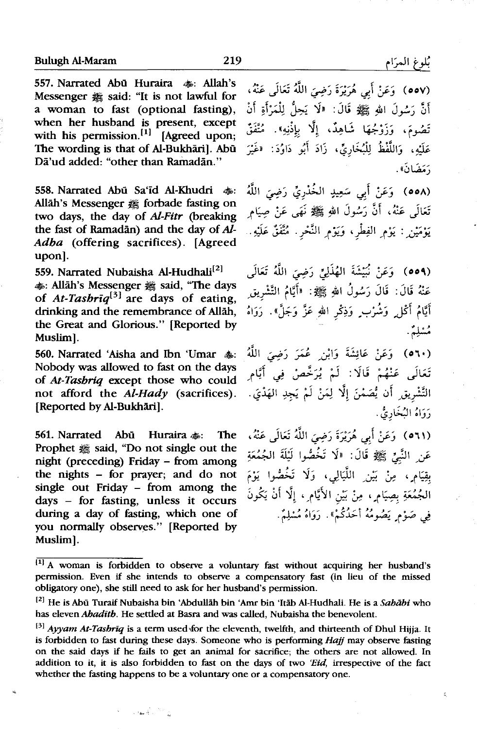557. Narrated Abū Huraira <a>></a>. Allah's Messenger  $#$  said: "It is not lawful for a woman to fast (optional fasting), when her husband is present, except with his permission. $\left[1\right]$  [Agreed upon; The wording is that of Al-Bukhāril. Abu Dā'ud added: "other than Ramadān."

558. Narrated Abū Sa'id Al-Khudri  $\clubsuit$ : Allah's Messenger # forbade fasting on two days, the day of *Al-Fitr* (breaking the fast of Ramadan) and the day of *Al-Adha* (offering sacrifices). [Agreed upon].

559. Narrated Nubaisha Al-Hudhali<sup>[2]</sup> ~:Allah's Messenger~ said, "The days of *At-Tashriq131* are days of eating, drinking and the remembrance of Allah, the Great and Glorious." [Reported by Muslim].

560. Narrated 'Aisha and Ibn 'Umar  $a_n$ . Nobody was allowed to fast on the days of *At-Tasbriq* except those who could not afford the *Al-Hady* (sacrifices). [Reported by Al-Bukhāri].

561. Narrated Abū Huraira  $\clubsuit$ : The Prophet  $#$  said, "Do not single out the night (preceding) Friday - from among the nights - for prayer; and do not single out Friday - from among the days - for fasting, unless it occurs during a day of fasting, which one of you normally observes." [Reported by Muslim].

 $\mathcal{L} \in \mathbb{R}^{n \times (n+1)/2}$  .

' oov) وَعَنْ أَبِي هُرَيْرَةَ رَضِيَ اللَّهُ تَعَالَى عَنْهُ، أَنَّ رَسُولَ اللهِ ﷺ قَالَ: «لَا يَجلُّ لِلْمَرْأَةِ أَنْ تَصُومَ، وَزَوْجُهَا شَاهِدٌ، إلَّا بإذْنِهِ». مُتَّفَقٌ عَلَيْهِ، وَاللَّفْظُ لِلْبُخَارِيِّ، زَادَ أَبُو دَاوُدَ: "غَيْرَ .<br>«مَضَانَ».

.<br>(٥٥٨) وَعَنْ أَبِي سَعِيدِ الخُذْرِيِّ رَضِيَ اللَّهُ تَعَالَہ عَنْهُ، أَنَّ رَسُولَ اللهِ ﷺ نَهَى عَنْ صِيَامٍ يَوْمَيْنِ : يَوْمِ الفِطْرِ، وَيَوْمِ النَّحْرِ. مُتَّفَقٌ عَلَيْهِ..

(٥٥٩) وَعَنْ نُبَيْشَةَ الهُذَلِيِّ رَضِيَ اللَّهُ تَعَالَى عَنْهُ قَالَ: قَالَ رَسُولُ اللهِ ﷺ: «أَيَّامُ التَّشْرِيقِ .<br>أَيَّامُ أَكْل ٍ وَشُرْب ٍ وَذِكْر اللهِ عَزَّ وَجَلَّ». رَوَاهُ مشلِمٌ .

(**٥٦٠)** وَعَنْ عَائِشَةَ وَابْنِ عُمَرَ رَضِيَ اللَّهُ تَعَالَى عَنْهُمْ قَالَا : لَمْ يُرَخَّصْ فِى أَيَّامِ التَّشْرِيقِ أَن يُُصَمْنَ إلَّا لِمَنْ لَمْ يَجدِ الهَدْيَ. رَوَاهُ البُخَارِيُّ .

.<br>(٥٦١ ) وَعَنْ أَبِي هُرَيْرَةَ رَضِيَ اللَّهُ تَعَالَى عَنْهُ، عَنِ النَّبِيِّ ﷺ قَالَ: «لَا تَخُصُّوا لَيْلَةَ الجُمُعَةِ بقِيَامِ ، مِنْ بَيْنِ اللَّيَالِيِ ، وَلَا تَخُصُّوا يَوْمَ الجُمُعَةِ بِصِيَام ِ، مِنْ بَيْنِ الأَيَامِ ، إِلَّا أَنْ يَكُونَ في صَوْمِ بَصُومُهُ أَحَدُكُمْ» . دَوَاهُ مُسْلِمٌ .

ź.

 $111$  A woman is forbidden to observe a voluntary fast without acquiring her husband's permission. Even if she intends to observe a compensatory fast (in lieu of the missed obligatory one), she still need to ask for her husband's permission.

<sup>&</sup>lt;sup>[2]</sup> He is Abū Turaif Nubaisha bin 'Abdullāh bin 'Amr bin 'Itāb Al-Hudhali. He is a *Sahābi* who has eleven *Abadith*. He settled at Basra and was called, Nubaisha the benevolent.

<sup>&</sup>lt;sup>[3]</sup> Ayyam At-Tashriq is a term used for the eleventh, twelfth, and thirteenth of Dhul Hijja. It is forbidden to fast during these days. Someone who is performing Hajj may observe fasting on the said days if he fails to get an animal for sacrifice; the others are not allowed. In addition to it, it is also forbidden to fast on the days of two *'Eid,* irrespective of the fact whether the fasting happens to be a voluntary one or a compensatory one.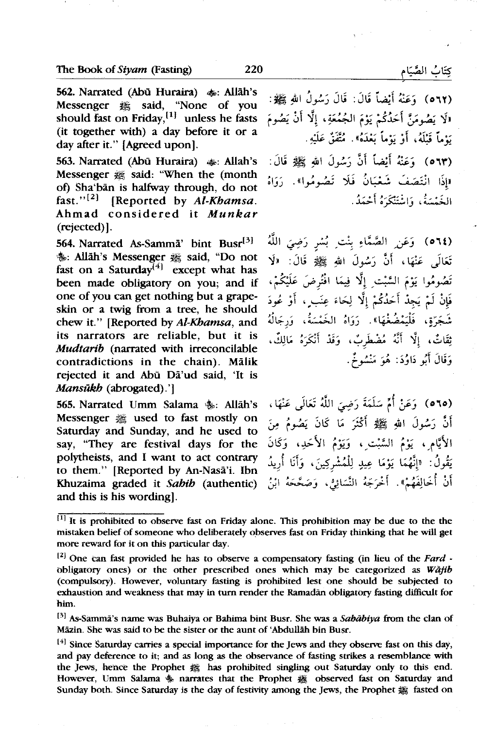562. Narrated (Abū Huraira)  $\clubsuit$ : Allāh's Messenger  $#$  said, "None of you should fast on Friday,  $[1]$  unless he fasts (it together with) a day before it or a day after it." {Agreed upon].

563. Narrated (Abū Huraira)  $\clubsuit$ : Allah's Messenger  $#$  said: "When the (month ot) Sha'ban is halfway through, do not fast."<sup>[2]</sup> [Reported by *Al-Khamsa*. Ahmad considered it *Munkar*  (rejected)).

564. Narrated As-Samma' bint Busr $[3]$  $*$ : Allah's Messenger & said, "Do not fast on a Saturday $\begin{bmatrix} 4 \end{bmatrix}$  except what has been made obligatory on you; and if one of you can get nothing but a grapeskin or a twig from a tree, he should chew it." [Reported by *Al-Khamsa,* and its narrators are reliable, but it is *Mudtarib* (narrated with irreconcilable contradictions in the chain). Malik rejected it and Abu Da'ud said, 'It is *Mansükh* (abrogated).']

565. Narrated Umm Salama \$: Allāh's<br>Messenger ﷺ used to fast mostly on Saturday and Sunday, and he used to say, "They are festival days for the polytheists, and I want to act contrary to them." [Reported by An-Nasa'i. Ibn Khuzaima graded it *Sahib* (authentic) and this is his wording].

(٥٦٢ ) - وَعَنْهُ أَيْضاً قَالَ: قَالَ رَسُولُ اللهِ ﷺ: لاَ لا يَ**ضُ**ومَنَّ أَحَدُكُمْ يَوْمَ الجُمُعَةِ، إلَّا أَنْ يَصُومَ . ..:J.i\_,, -~ • «~~ t..,, . f ';jj t..,, . ...,.- . *)"..* .J . *)"..*  (٥٦٣ ) وَعَنْهُ أَيْضاً أَنَّ رَسُولَ اللهِ ﷺ قَالَ: «إِذَا انْتَصَفَ شَعْبَانُ فَلَا تَصُومُوا». رَوَاهُ الغَيْسَةُ، وَاسْتَنْكَهُ أَحْمَدُ.

(٥٦٤) وَعَنِ الصَّمَّاءِ بِنْتِ بُسْرٍ رَضِيَ اللَّهُ تَعَالَى عَنْهَا، أَنَّ رَسُولَ اللهِ ﷺ قَالَ: «لَا .<br>تَصُومُوا يَوْمَ السَّبْتِ إِلَّا فِيمَا افْتُرضَ عَلَيْكُمْ، فَإِنْ لَمْ يَجِدْ أَحَدُكُمْ إِلَّا لِحَاءَ عِنَبٍ ، أَوْ عُودَ شَجَرَةِ، فَلْيَغْضُغْهَا». رَوَاهُ الخَمْسَةُ، وَرجَالُهُ ثِقَاتٌ، إلَّا أَنَّهُ مُضْطَرِبٌ، وَقَدْ أَنْكَرَهُ مَالِكٌ، وَقَالَ أَبُو دَاوُدَ: هُوَ مَنْشُوخٌ.

(٦٥ه) ۖ وَعَنْ أُمِّ سَلَمَةَ رَضِيَ اللَّهُ تَعَالَى عَنْهَا، أَنَّ رَسُولَ اللهِ ﷺ أَكْثَرَ مَا كَانَ يَصُومُ مِنَ الأَيَّامِ، يَوْمُ السَّبْتِ ِ، وَيَوْمُ الأَحَدِ، وَكَانَ يَقُولُ: «إنَّهُمَا يَوْمَا عِيدِ لِلْمُشْرِكِينَ، وَأَنَا أُرِيدُ أَنْ أُخَالِفَهُمْ». أَخْرَجَهُ النَّسَائِيُّ، وَصَخَّخَهُ ابْنُ

 $^{[1]}$  It is prohibited to observe fast on Friday alone. This prohibition may be due to the the mistaken belief of someone who deliberately observes fast on Friday thinking that he will get more reward for it on this particular day.

<sup>&</sup>lt;sup>[2]</sup> One can fast provided he has to observe a compensatory fasting (in lieu of the *Fard*  $\cdot$ obligatory ones) or the other prescribed ones which may be categorized as *Wajib*  (compulsory). However, voluntary fasting is prohibited lest one should be subjected to exhaustion and weakness that may in tum render the Ramadan obligatory fasting difficult for him.

l 3l As-Samma's name was Buhaiya or Bahima hint Busr. She was a *Sababiya* from the clan of Mazin. She was said to be the sister or the aunt of 'Abdullah bin Busr.

<sup>&</sup>lt;sup>[4]</sup> Since Saturday carries a special importance for the Jews and they observe fast on this day, and pay deference to it; and as long as the observance of fasting strikes a resemblance with the Jews, hence the Prophet  $#$  has prohibited singling out Saturday only to this end. However, Umm Salama <a>
<sub>\$</sub> narrates that the Prophet & observed fast on Saturday and Sunday both. Since Saturday is the day of festivity among the Jews, the Prophet  $#$  fasted on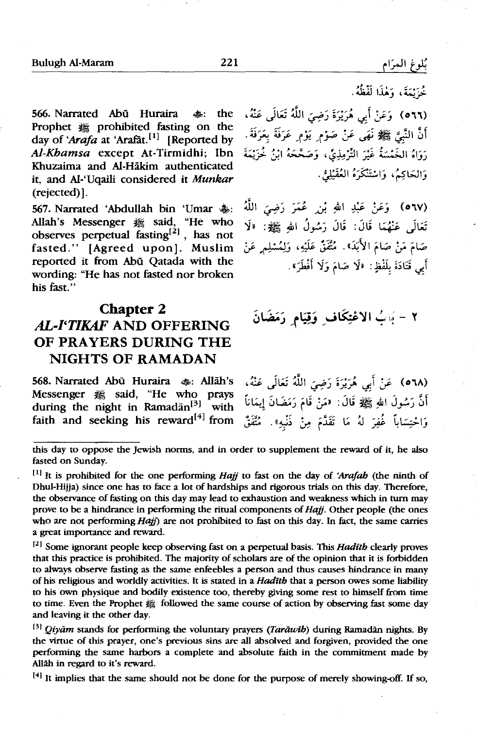*بُلوغ ا*لمرَام

566. Narrated Abū Huraira <a> Prophet  $#$  prohibited fasting on the day of 'Arafa at 'Arafat.<sup>[1]</sup> [Reported by *Al-Khamsa* except At-Tirmidhi; Ibn Khuzaima and Al-Hakim authenticated it, and Al-'Uqaili considered it Munkar (rejected)].

567. Narrated 'Abdullah bin 'Umar  $\ddot{\textbf{e}}$ s: Allah's Messenger # said, "He who observes perpetual  $\widehat{\text{fasting}}^{[2]}$ , has not fasted." [Agreed upon). Muslim reported it from Abu Qatada with the wording: "He has not fasted nor broken his fast."

## **Chapter 2**

## *AL-l'TIKAF* AND OFFERING OF PRAYERS DURING THE NIGHTS OF RAMADAN

568. Narrated Abū Huraira <a: Allāh's Messenger <sub>·</sub> *said*, "He who prays during the night in Ramadān<sup>[3]</sup> with faith and seeking his reward $[4]$  from

خزيمة، وهذا لفظه. .~ J~ WI *:r!')* ;\_-;.;'-!if *.:f\_J* (O'\'\) أَنَّ النَّبِيَّ ﷺ نَهَى عَنْ صَوْمٍ يَوْمٍ عَرَفَةً بِعَرَفَةً . .<br>رَوَاهُ الْخَمْسَةُ غَيْرَ التَّزْمِذِيِّ، وَصَحَّحَهُ ابْنُ خُزَيْمَةَ وَالعَاكِيُرِ، وَاسْتَنْكَرَهُ العُقَبْلِيُّ.

W I *:ri')* -\_;.;. *\_.:r.* ~ <sup>I</sup>*µ .:f* \_J ( o '\V) تَعَالَى عَنْهُمَا قَالَ: قَالَ رَسُولُ الله ﷺ: «لَا صَامَ مَنْ صَامَ الأَبَدَ». مُتَّفَقٌ عَلَيْهِ، وَلِمُسْلِم عَنْ أَبِي قَتَادَةَ بِلَفْظٍ: «لَا صَامَ وَلَا أَفْطَرَ».

## ٢ - يَابُ الاعْتِكَاف وَقِيَام رَمَضَانَ

.~ J~ WI *:r!')* ;\_-;.}'-!if *.:f* (o'\A) .<br>أَنَّ رَسُولَ اللهِ ﷺ قَالَ: «مَنْ قَامَ رَمَضَانَ إيمَاناً .<br>وَاحْتِسَاباً غُفِرَ لهُ مَا تَقَدَّمَ مِنْ ذَنْبِهِ». مُتَّفَقٌّ

121 Some ignorant people keep observing fast on a perpetual basis. This *Hadith* clearly proves that this practice is prohibited. The majority of scholars are of the opinion that it is forbidden to always observe fasting as the same enfeebles a person and thus causes hindrance in many of his religious and worldly activities. It is stated in a *Hadith* that a person owes some liability to his own physique and bodily existence too, thereby giving some rest to himself from time to time. Even the Prophet 2 followed the same course of action by observing fast some day and leaving it the other day.

<sup>[3]</sup> Qiyam stands for performing the voluntary prayers (*Tarawib*) during Ramadan nights. By the virtue of this prayer, one's previous sins are all absolved and forgiven, provided the one performing the same harbors a complete and absolute faith in the commitment made by Allah in regard to it's reward.

 $[4]$  It implies that the same should not be done for the purpose of merely showing-off. If so,

this day to oppose the Jewish norms, and in order to supplement the reward of it, he also fasted on Sunday.

 $[1]$  It is prohibited for the one performing Hajj to fast on the day of 'Arafah (the ninth of Dhul-Hijja) since one has to face a lot of hardships and rigorous trials on this day. Therefore, the observance of fasting on this day may lead to exhaustion and weakness which in turn may prove to be a hindrance in performing the ritual components of Hajj. Other people (the ones who are not performing  $Hajj$ ) are not prohibited to fast on this day. In fact, the same carries a great importance and reward.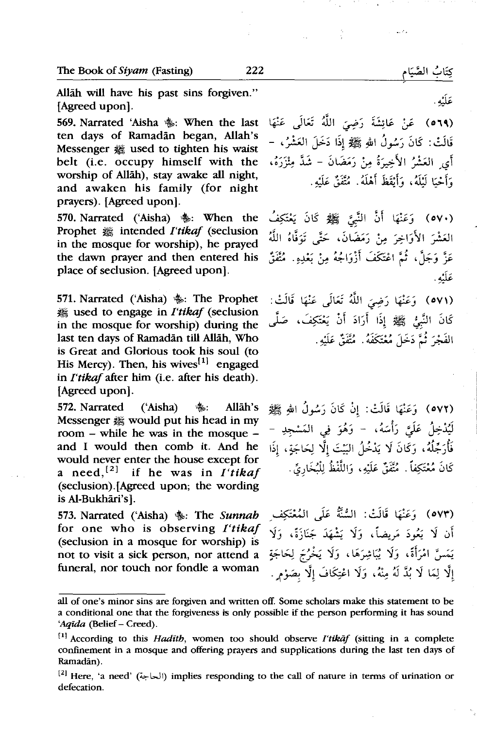Allah will have his past sins forgiven." [Agreed upon].

569. Narrated 'Aisha \$: When the last ten days of Ramadan began, Allah's Messenger # used to tighten his waist belt (i.e. occupy himself with the worship of Allah), stay awake all night, and awaken his family (for night prayers). (Agreed upon].

570. Narrated ('Aisha) ~: When the Prophet **2** intended *I'tikaf* (seclusion in the mosque for worship), he prayed the dawn prayer and then entered his place of seclusion. (Agreed upon].

571. Narrated ('Aisha)  $\frac{1}{2}$ : The Prophet **# used to engage in** *I'tikaf* (seclusion in the mosque for worship) during the last ten days of Ramadan till Allah, Who is Great and Glorious took his soul (to His Mercy). Then, his wives<sup>[1]</sup> engaged in *I'tikaf* after him (i.e. after his death). [Agreed upon].

(٥٧٢) وَعَنْهَا قَالَتْ: إِنْ كَانَ رَسُولُ اللهِ ﷺ Allāh's . ﴿ Allāh's :: 372. Narrated ('Aisha Messenger  $#$  would put his head in my room - while he was in the mosque and I would then comb it. And he would never enter the house except for a need,<sup>[2]</sup> if he was in *I'tikaf* (seclusion).(Agreed upon; the wording is Al-Bukhāri's].

573. Narrated ('Aisha)  $\ddagger$ : The Sunnah for one who is observing *I'tikaf*  (seclusion in a mosque for worship) is not to visit a sick person, nor attend a funeral, nor touch nor fondle a woman

(**٥٦٩)** عَنْ عَائِشَةَ رَضِيَ اللَّهُ تَعَالَى عَنْهَا قَالَتْ: كَانَ رَسُولُ اللهِ ﷺ إِذَا دَخَلَ الْعَشْرُ، – .<br>أَى العَشْرُ الأَخِيرَةُ مِنْ رَمَضَانَ – شَدَّ مِثْزَرَهُ، • ?Li\_',' ':2 . <l.:.l ~l' , ~ Gl' . ..,..-· -*.)* - - *.)* 

(٥٧٠) ۖ وَعَنْهَا أَنَّ النَّبِيَّ ۚ ﷺ كَانَ يَعْتَكِفُ العَشْرَ الأَوَاخِرَ مِنْ رَمَضَانَ، حَتَّى تَوَفَّاهُ اللَّهُ عَزَّ وَجَلَّ، ثُمَّ اعْتَكَفَ أَزْوَاجُهُ مِنْ بَعْدِهِ. مُتَّفَقٌّ عَلَيْهِ .

(٥٧١) وَعَنْهَا رَضِيَ اللَّهُ تَعَالَى عَنْهَا قَالَتْ: كَانَ النَّبِيُّ ﷺ إِذَا أَرَادَ أَنْ يَعْتَكِفَ، صَلَّى الفَجْرَ ثُمَّ دَخَلَ مُعْتَكَفَهُ. مُتَّفَقٌّ عَلَيْهِ.

لَيُدْخِلُ عَلَيَّ رَأْسَهُ، – وَهُوَ فِي المَسْجِدِ – فَأْرَجِّلُهُ، وَكَانَ لَا يَدْخُلُ البَيْتَ إِلَّا لِحَاجَةٍ، إِذَا كَانَ مُعْتَكِفاً . مُتَّفَقٌّ عَلَيْهِ، وَاللَّفْظُ لِلْبُخَارِيِّ .

(٥٧٣) وَعَنْهَا قَالَتْ: السُّنَّةُ عَلَى المُعْتَكِف أَن لَا يَعُودَ مَرِيضاً، وَلَا يَشْهَدَ جَنَازَةً، وَلَا يَمَسَّ امْرَأَةً، وَلَا يُبَاشِرَهَا، وَلَا يَخْرُجَ لِحَاجَةٍ إلَّا لِمَا لَا بُدَّ لَهُ مِنْهُ، وَلَا اعْتِكَافَ إلَّا بِصَوْمٍ .

عَلَيْهِ .

كِتَابُ الصَّيَام

Цź,

all of one's minor sins are forgiven and written off. Some scholars make this statement to be a conditional one that the forgiveness is only possible if the person performing it has sound 'Aqīda (Belief - Creed).

<sup>£•</sup>l According to this *Hadith,* women too should observe *I'tikaf* (sitting in a complete confinement in a mosque and offering prayers and supplications during the last ten days of Ramadan).

<sup>&</sup>lt;sup>[2]</sup> Here, 'a need' (الحاجة) implies responding to the call of nature in terms of urination or defecation.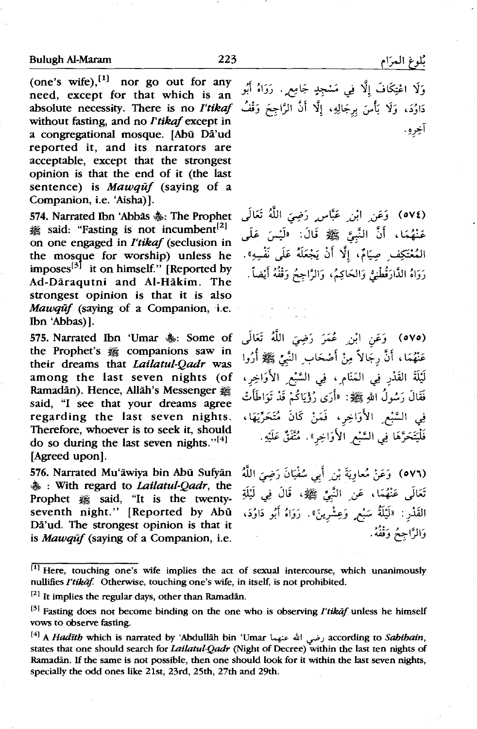(one's wife), $^{11}$  nor go out for any need, except for that which is an absolute necessity. There is no *I'tikaf وَقُفُ There is no I'tikaf*<br>absolute necessity. There is no *I'tikaf وَقُفُ m*itleur frating ond as *I'tikaf* on *Ditites* from ond as *i* without fasting, and no *I'tikaf* except in a congregational mosque. [Abu Da'ud reported it, and its narrators are acceptable, except that the strongest opinion is that the end of it (the last sentence) is *Mawquf* (saying of a Companion, i.e. 'Aisha)].

574. Narrated Ibn 'Abbās  $\clubsuit$ : The Prophet <del>25</del> said: "Fasting is not incumbent<sup>[2]</sup> on one engaged in *l'tikaf* (seclusion in the mosque for worship) unless he imposes<sup>[3]</sup> it on himself." [Reported by Ad-Daraqutni and Al-Hakim. The strongest opinion is that it is also *Mawqut* (saying of a Companion, i.e. Ibn 'Abbas)].

575. Narrated Ibn 'Umar  $\clubsuit$ : Some of the Prophet's  $#$  companions saw in their dreams that *Lailatul-Qadr* was among the last seven nights (of Ramadān). Hence, Allāh's Messenger said, "I see that your dreams agree regarding the last seven nights. Therefore, whoever is to seek it, should do so during the last seven nights."<sup>[4]</sup> [Agreed upon].

576. Narrated Mu'awiya bin Abu Sufyan ~ : With regard to *Lai/atul-Qadr,* the Prophet  $#$  said, "It is the twentyseventh night." [Reported by Abū Da'ud. The strongest opinion is that it is *Mawquf* (saying of a Companion, i.e.

.<br>وَلَا اعْتِكَافَ إلَّا فِي مَسْجدٍ جَامِع<sub>َ.</sub> . رَوَاهُ أَبُو آخره .

(٥٧٤) وَعَنِ إِبْنِ عَبَّاسٍ رَضِيَ اللَّهُ تَعَالَى عَنْهُمَا، أَنَّ النَّبِيَّ ﷺ قَالَ: «لَيْسَ عَلَى المُعْتَكِف صيَامٌ، <sup>ٱ</sup>لَّا أَنْ يَجْعَلَهُ عَلَى نَفْسِهِ». رَوَاهُ الذَّارَقُطْنِيُّ وَالحَاكِمُ، وَالرَّاجِعُ وَقْفُهُ أَيْضاً.

(٥٧٥) وَعَنِ أَبْنِ عُمَرَ رَضِيَ اللَّهُ تَعَالَى عَنْهُمَا، أَنَّ رِجَالاً مِنْ أَصْحَابِ النَّبِيِّ ﷺ أُرُوا لَيْلَةَ القَدْرِ فِي الْمَنَامِ ، فِي السَّبْعِ الأَوَاخِرِ ، .<br>فَقَالَ رَسُولُ اللهِ ﷺ: «أَرَى رُؤْيَاكُمْ قَدْ تَوَاطَأَتْ فِي السَّبْعِ الأَوَاخِرِ، فَمَنْ كَانَ مُتَحَرِّيَهَا، فَلْيَتَحَرَّهَا فِي السَّبْعِ الأَوَاخِرِ». مُتَّفَقٌ عَلَيْهِ.

j\_il 0'~ ~~ ~l *,J.* ~~ *:y\_:,* (oV'\) تَعَالَى عَنْهُمَا ، عَنِ النَّبِيِّ ﷺ، قَالَ فِي لَيْلَةِ القَدْر : «لَيْلَةٌ سَبْع ٍ وَعِشْرينَ» . رَوَاهُ أَبُو دَاوُدَ، وَالرَّاجِحُ وَقْفُهُ.

<sup>&</sup>lt;sup>[1]</sup> Here, touching one's wife implies the act of sexual intercourse, which unanimously nullifies *I'tikaf*. Otherwise, touching one's wife, in itself, is not prohibited.

 $[2]$  It implies the regular days, other than Ramadan.

<sup>131</sup>Fasting does not become binding on the one who is observing *I'tikaf* unless he himself vows to observe fasting.

<sup>141</sup>A *Haditb* which is narrated by 'Abdullah bin 'Umar 4.:..- 41 .\_,.;,.;according to *Sabibain,*  states that one should search for *Lailatul-Qadr* (Night of Decree) Within the last ten nights of Ramadan. *H* the same is not possible, then one should look for it within the last seven nights, specially the odd ones like 21st, 23rd, 25th, 27th and 29th.